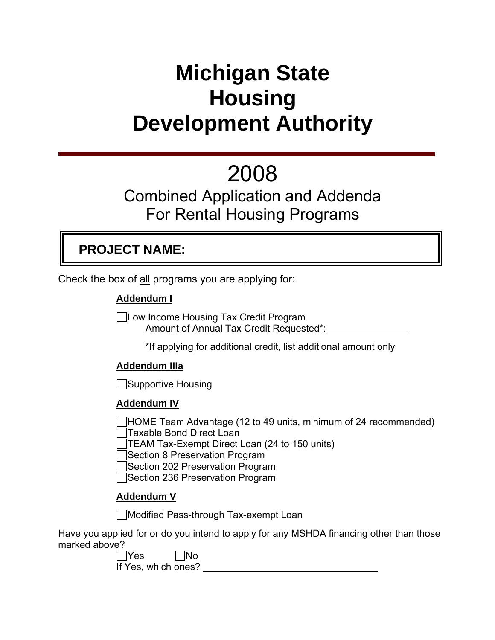# **Michigan State Housing Development Authority**

# 2008

## Combined Application and Addenda For Rental Housing Programs

## **PROJECT NAME:**

Check the box of all programs you are applying for:

## **Addendum I**

Low Income Housing Tax Credit Program Amount of Annual Tax Credit Requested\*:

\*If applying for additional credit, list additional amount only

## **Addendum IIIa**

**Supportive Housing** 

## **Addendum IV**

HOME Team Advantage (12 to 49 units, minimum of 24 recommended) Taxable Bond Direct Loan

TEAM Tax-Exempt Direct Loan (24 to 150 units)

Section 8 Preservation Program

Section 202 Preservation Program

Section 236 Preservation Program

## **Addendum V**

Modified Pass-through Tax-exempt Loan

Have you applied for or do you intend to apply for any MSHDA financing other than those marked above?

 $\Box$ Yes  $\Box$ No If Yes, which ones?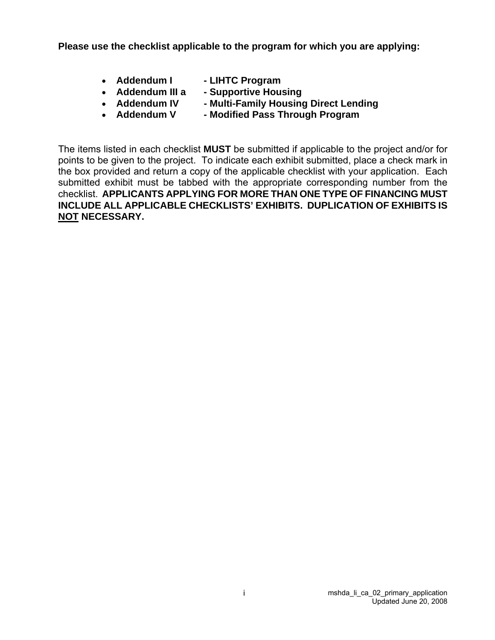**Please use the checklist applicable to the program for which you are applying:** 

- 
- **Addendum I LIHTC Program**
- **Addendum III a Supportive Housing**
- **Addendum IV Multi-Family Housing Direct Lending**
- **Addendum V Modified Pass Through Program**

The items listed in each checklist **MUST** be submitted if applicable to the project and/or for points to be given to the project. To indicate each exhibit submitted, place a check mark in the box provided and return a copy of the applicable checklist with your application. Each submitted exhibit must be tabbed with the appropriate corresponding number from the checklist. **APPLICANTS APPLYING FOR MORE THAN ONE TYPE OF FINANCING MUST INCLUDE ALL APPLICABLE CHECKLISTS' EXHIBITS. DUPLICATION OF EXHIBITS IS NOT NECESSARY.**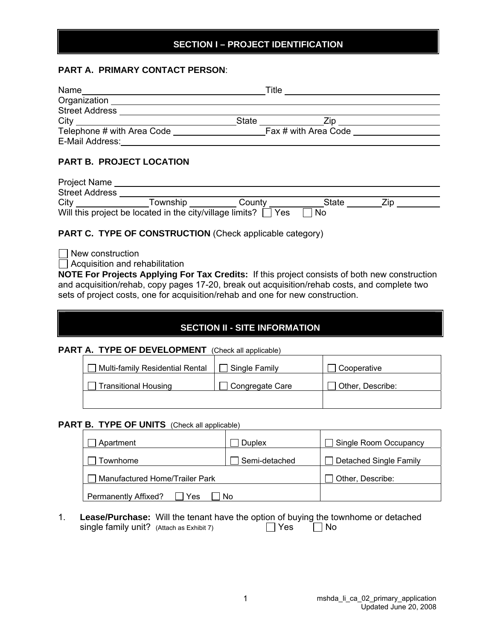#### **SECTION I – PROJECT IDENTIFICATION**

#### **PART A. PRIMARY CONTACT PERSON**:

| Name                       | Title        |                      |  |
|----------------------------|--------------|----------------------|--|
| Organization               |              |                      |  |
| <b>Street Address</b>      |              |                      |  |
| City                       | <b>State</b> | 7in                  |  |
| Telephone # with Area Code |              | Fax # with Area Code |  |
| E-Mail Address:            |              |                      |  |

#### **PART B. PROJECT LOCATION**

| <b>Project Name</b>   |                                                          |        |       |  |
|-----------------------|----------------------------------------------------------|--------|-------|--|
| <b>Street Address</b> |                                                          |        |       |  |
| City                  | Township                                                 | County | State |  |
|                       | Will this project be located in the city/village limits? | Yes    | No.   |  |

#### **PART C. TYPE OF CONSTRUCTION** (Check applicable category)

 $\Box$  New construction

 $\Box$  Acquisition and rehabilitation

**NOTE For Projects Applying For Tax Credits:** If this project consists of both new construction and acquisition/rehab, copy pages 17-20, break out acquisition/rehab costs, and complete two sets of project costs, one for acquisition/rehab and one for new construction.

#### **SECTION II - SITE INFORMATION**

**PART A. TYPE OF DEVELOPMENT** (Check all applicable)

| Multi-family Residential Rental | Single Family   | Cooperative      |
|---------------------------------|-----------------|------------------|
| <b>Transitional Housing</b>     | Congregate Care | Other, Describe: |
|                                 |                 |                  |

## **PART B. TYPE OF UNITS** (Check all applicable)

| Apartment                          | <b>Duplex</b> | Single Room Occupancy         |
|------------------------------------|---------------|-------------------------------|
| ownhome <sup>-</sup>               | Semi-detached | <b>Detached Single Family</b> |
| Manufactured Home/Trailer Park     |               | Other, Describe:              |
| <b>Permanently Affixed?</b><br>Yes | Nο            |                               |

1. **Lease/Purchase:** Will the tenant have the option of buying the townhome or detached single family unit? (Attach as Exhibit 7)  $\Box$  Yes  $\Box$  No single family unit?  $(A<sub>t</sub> 4a<sub>t</sub>)$  (Attach as Exhibit 7)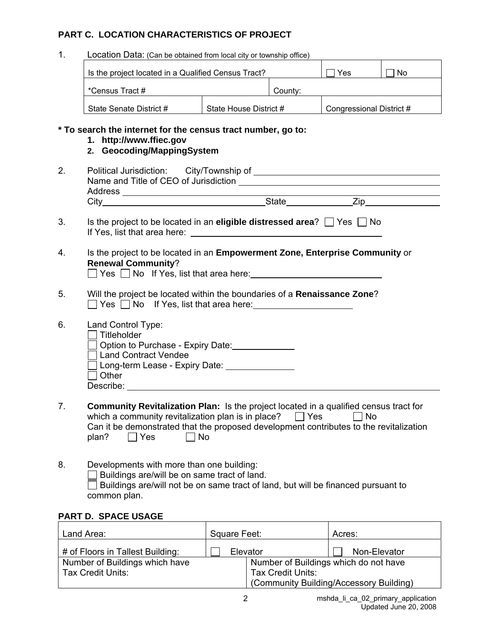#### **PART C. LOCATION CHARACTERISTICS OF PROJECT**

1. Location Data: (Can be obtained from local city or township office)

| Is the project located in a Qualified Census Tract? |                        | Yes     | No                       |  |
|-----------------------------------------------------|------------------------|---------|--------------------------|--|
| *Census Tract #                                     |                        | County: |                          |  |
| State Senate District #                             | State House District # |         | Congressional District # |  |

#### **\* To search the internet for the census tract number, go to:**

- **1. http://www.ffiec.gov**
- **2. Geocoding/MappingSystem**
- 2. Political Jurisdiction: City/Township of Name and Title of CEO of Jurisdiction Address City State Zip
- 3. Is the project to be located in an **eligible distressed area**?  $\Box$  Yes  $\Box$  No If Yes, list that area here:
- 4. Is the project to be located in an **Empowerment Zone, Enterprise Community** or **Renewal Community**?  $\Box$  Yes  $\Box$  No If Yes, list that area here:
- 5. Will the project be located within the boundaries of a **Renaissance Zone**?
	- $\Box$  Yes  $\Box$  No If Yes, list that area here:
- 6. Land Control Type:
	- $\Box$  Titleholder
		- Option to Purchase Expiry Date:
		- Land Contract Vendee
		- Long-term Lease Expiry Date:
		- $\Box$  Other Describe: when the contract of the contract of the contract of the contract of the contract of the contract of the contract of the contract of the contract of the contract of the contract of the contract of the contract of
- 7. **Community Revitalization Plan:** Is the project located in a qualified census tract for which a community revitalization plan is in place?  $\Box$  Yes  $\Box$  No Can it be demonstrated that the proposed development contributes to the revitalization plan?  $\Box$  Yes  $\Box$  No
- 8. Developments with more than one building:  $\Box$  Buildings are/will be on same tract of land.  $\Box$  Buildings are/will not be on same tract of land, but will be financed pursuant to common plan.

## **PART D. SPACE USAGE**

| Land Area:                       | Square Feet:             | Acres:                                  |
|----------------------------------|--------------------------|-----------------------------------------|
| # of Floors in Tallest Building: | Elevator                 | Non-Elevator                            |
| Number of Buildings which have   |                          | Number of Buildings which do not have   |
| <b>Tax Credit Units:</b>         | <b>Tax Credit Units:</b> |                                         |
|                                  |                          | (Community Building/Accessory Building) |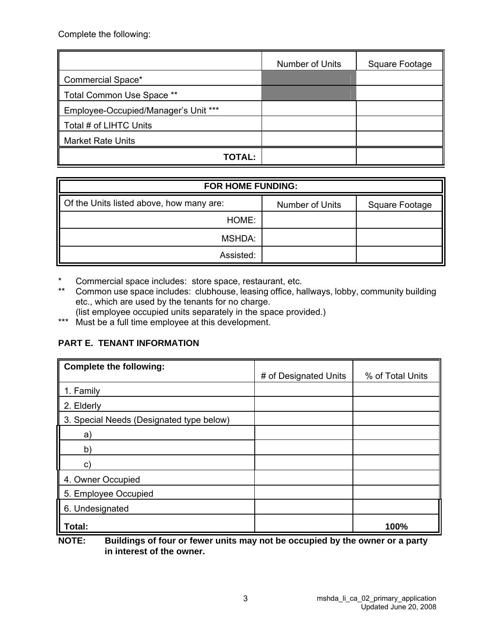Complete the following:

|                                      | Number of Units | Square Footage |
|--------------------------------------|-----------------|----------------|
| Commercial Space*                    |                 |                |
| Total Common Use Space **            |                 |                |
| Employee-Occupied/Manager's Unit *** |                 |                |
| Total # of LIHTC Units               |                 |                |
| <b>Market Rate Units</b>             |                 |                |
| TOTAL:                               |                 |                |

| <b>FOR HOME FUNDING:</b>                             |                 |                |  |
|------------------------------------------------------|-----------------|----------------|--|
| $\parallel$ Of the Units listed above, how many are: | Number of Units | Square Footage |  |
| HOME:                                                |                 |                |  |
| MSHDA:                                               |                 |                |  |
| Assisted:                                            |                 |                |  |

\* Commercial space includes: store space, restaurant, etc.

\*\* Common use space includes: clubhouse, leasing office, hallways, lobby, community building etc., which are used by the tenants for no charge.

(list employee occupied units separately in the space provided.)

\*\*\* Nust be a full time employee at this development.

## **PART E. TENANT INFORMATION**

| <b>Complete the following:</b>           | # of Designated Units | % of Total Units |
|------------------------------------------|-----------------------|------------------|
| 1. Family                                |                       |                  |
| 2. Elderly                               |                       |                  |
| 3. Special Needs (Designated type below) |                       |                  |
| a)                                       |                       |                  |
| b)                                       |                       |                  |
| C)                                       |                       |                  |
| 4. Owner Occupied                        |                       |                  |
| 5. Employee Occupied                     |                       |                  |
| 6. Undesignated                          |                       |                  |
| Total:                                   |                       | 100%             |

**NOTE: Buildings of four or fewer units may not be occupied by the owner or a party in interest of the owner.**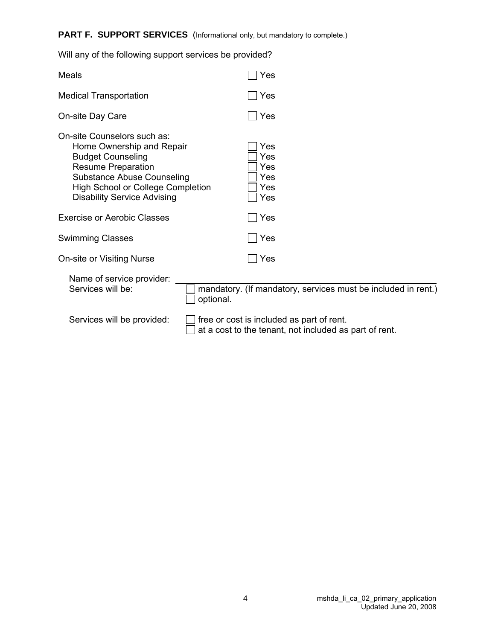## PART F. SUPPORT SERVICES (Informational only, but mandatory to complete.)

| <b>Medical Transportation</b>                                                                                                                                                                                                            |           | Yes                                                                                                 |
|------------------------------------------------------------------------------------------------------------------------------------------------------------------------------------------------------------------------------------------|-----------|-----------------------------------------------------------------------------------------------------|
| On-site Day Care                                                                                                                                                                                                                         |           | Yes                                                                                                 |
| On-site Counselors such as:<br>Home Ownership and Repair<br><b>Budget Counseling</b><br><b>Resume Preparation</b><br><b>Substance Abuse Counseling</b><br><b>High School or College Completion</b><br><b>Disability Service Advising</b> |           | Yes<br>Yes<br>Yes<br>Yes<br>Yes<br>Yes                                                              |
| <b>Exercise or Aerobic Classes</b>                                                                                                                                                                                                       |           | l Yes                                                                                               |
| <b>Swimming Classes</b>                                                                                                                                                                                                                  |           | $\Box$ Yes                                                                                          |
| On-site or Visiting Nurse                                                                                                                                                                                                                |           | Yes                                                                                                 |
| Name of service provider:<br>Services will be:                                                                                                                                                                                           | optional. | mandatory. (If mandatory, services must be included in rent.)                                       |
| Services will be provided:                                                                                                                                                                                                               |           | free or cost is included as part of rent.<br>at a cost to the tenant, not included as part of rent. |

Will any of the following support services be provided?

Meals  $\Box$  Yes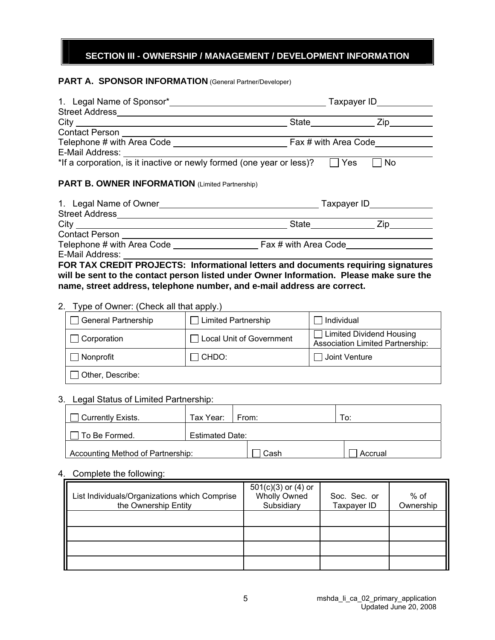### **SECTION III - OWNERSHIP / MANAGEMENT / DEVELOPMENT INFORMATION**

#### **PART A. SPONSOR INFORMATION** (General Partner/Developer)

|                                                                       | State Zip                            |
|-----------------------------------------------------------------------|--------------------------------------|
| Contact Person _______________________                                |                                      |
|                                                                       |                                      |
|                                                                       |                                      |
| *If a corporation, is it inactive or newly formed (one year or less)? | Yes<br><b>No</b>                     |
| <b>PART B. OWNER INFORMATION (Limited Partnership)</b>                |                                      |
|                                                                       |                                      |
|                                                                       |                                      |
|                                                                       | State________________________ Zip___ |
|                                                                       |                                      |
| Telephone # with Area Code Fax # with Area Code                       |                                      |
| E-Mail Address:                                                       |                                      |

**FOR TAX CREDIT PROJECTS: Informational letters and documents requiring signatures will be sent to the contact person listed under Owner Information. Please make sure the name, street address, telephone number, and e-mail address are correct.** 

#### 2. Type of Owner: (Check all that apply.)

| <b>General Partnership</b> | $\Box$ Limited Partnership | Individual                                                            |
|----------------------------|----------------------------|-----------------------------------------------------------------------|
| Corporation                | □ Local Unit of Government | □ Limited Dividend Housing<br><b>Association Limited Partnership:</b> |
| Nonprofit                  | 1 CHDO:                    | Joint Venture                                                         |
| Other, Describe:           |                            |                                                                       |

#### 3. Legal Status of Limited Partnership:

| <b>Currently Exists.</b>          | Tax Year:   From:      |      |  | To:     |
|-----------------------------------|------------------------|------|--|---------|
| To Be Formed.                     | <b>Estimated Date:</b> |      |  |         |
| Accounting Method of Partnership: |                        | Cash |  | Accrual |

#### 4. Complete the following:

| List Individuals/Organizations which Comprise<br>the Ownership Entity | $501(c)(3)$ or $(4)$ or<br><b>Wholly Owned</b><br>Subsidiary | Soc. Sec. or<br>Taxpayer ID | % of<br>Ownership |
|-----------------------------------------------------------------------|--------------------------------------------------------------|-----------------------------|-------------------|
|                                                                       |                                                              |                             |                   |
|                                                                       |                                                              |                             |                   |
|                                                                       |                                                              |                             |                   |
|                                                                       |                                                              |                             |                   |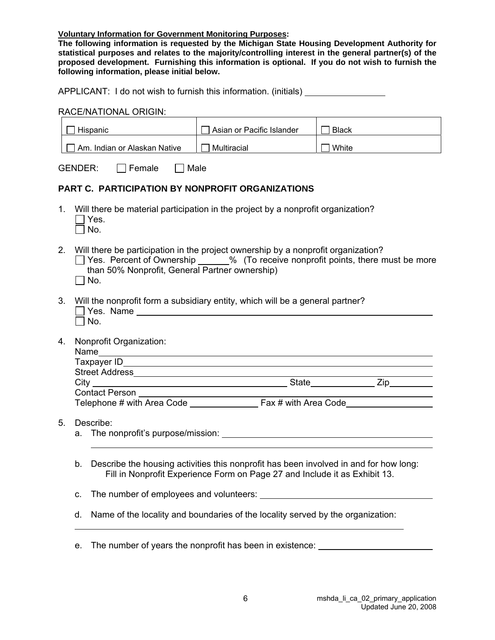**Voluntary Information for Government Monitoring Purposes:** 

**The following information is requested by the Michigan State Housing Development Authority for statistical purposes and relates to the majority/controlling interest in the general partner(s) of the proposed development. Furnishing this information is optional. If you do not wish to furnish the following information, please initial below.** 

APPLICANT: I do not wish to furnish this information. (initials)

#### RACE/NATIONAL ORIGIN:

|    | Hispanic                                                                                                                                                                                                                                        | $\Box$ Asian or Pacific Islander                                                                                                                                    | <b>Black</b> |  |  |  |  |
|----|-------------------------------------------------------------------------------------------------------------------------------------------------------------------------------------------------------------------------------------------------|---------------------------------------------------------------------------------------------------------------------------------------------------------------------|--------------|--|--|--|--|
|    | Am. Indian or Alaskan Native                                                                                                                                                                                                                    | $\Box$ Multiracial                                                                                                                                                  | $\Box$ White |  |  |  |  |
|    | GENDER:<br>$\Box$ Female<br>$\Box$ Male                                                                                                                                                                                                         |                                                                                                                                                                     |              |  |  |  |  |
|    | PART C. PARTICIPATION BY NONPROFIT ORGANIZATIONS                                                                                                                                                                                                |                                                                                                                                                                     |              |  |  |  |  |
|    | Will there be material participation in the project by a nonprofit organization?<br>1.<br>Yes.<br>No.                                                                                                                                           |                                                                                                                                                                     |              |  |  |  |  |
|    | 2.<br>Will there be participation in the project ownership by a nonprofit organization?<br>□ Yes. Percent of Ownership ______% (To receive nonprofit points, there must be more<br>than 50% Nonprofit, General Partner ownership)<br>$\Box$ No. |                                                                                                                                                                     |              |  |  |  |  |
|    | 3.<br>Will the nonprofit form a subsidiary entity, which will be a general partner?<br>Yes. Name<br>No.                                                                                                                                         |                                                                                                                                                                     |              |  |  |  |  |
| 4. | Nonprofit Organization:                                                                                                                                                                                                                         |                                                                                                                                                                     |              |  |  |  |  |
|    |                                                                                                                                                                                                                                                 |                                                                                                                                                                     |              |  |  |  |  |
|    |                                                                                                                                                                                                                                                 |                                                                                                                                                                     |              |  |  |  |  |
|    |                                                                                                                                                                                                                                                 |                                                                                                                                                                     |              |  |  |  |  |
| 5. | Describe:                                                                                                                                                                                                                                       |                                                                                                                                                                     |              |  |  |  |  |
|    | b.                                                                                                                                                                                                                                              | Describe the housing activities this nonprofit has been involved in and for how long:<br>Fill in Nonprofit Experience Form on Page 27 and Include it as Exhibit 13. |              |  |  |  |  |
|    | c.                                                                                                                                                                                                                                              |                                                                                                                                                                     |              |  |  |  |  |
|    | d.                                                                                                                                                                                                                                              | Name of the locality and boundaries of the locality served by the organization:                                                                                     |              |  |  |  |  |

e. The number of years the nonprofit has been in existence: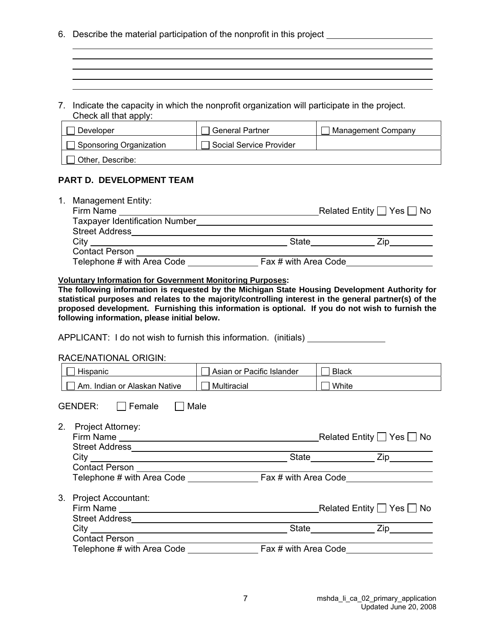- 6. Describe the material participation of the nonprofit in this project
- 7. Indicate the capacity in which the nonprofit organization will participate in the project. Check all that apply:

| Developer               | <b>General Partner</b>  | Management Company |
|-------------------------|-------------------------|--------------------|
| Sponsoring Organization | Social Service Provider |                    |
| Other, Describe:        |                         |                    |

and the control of the control of the control of the control of the control of the control of the control of the and the control of the control of the control of the control of the control of the control of the control of the

#### **PART D. DEVELOPMENT TEAM**

| <b>Management Entity:</b><br>1. |                      |                                     |
|---------------------------------|----------------------|-------------------------------------|
| Firm Name                       |                      | Related Entity $\Box$ Yes $\Box$ No |
| Taxpayer Identification Number  |                      |                                     |
| <b>Street Address</b>           |                      |                                     |
| City                            | State                |                                     |
| <b>Contact Person</b>           |                      |                                     |
| Telephone # with Area Code      | Fax # with Area Code |                                     |

#### **Voluntary Information for Government Monitoring Purposes:**

**The following information is requested by the Michigan State Housing Development Authority for statistical purposes and relates to the majority/controlling interest in the general partner(s) of the proposed development. Furnishing this information is optional. If you do not wish to furnish the following information, please initial below.** 

APPLICANT: I do not wish to furnish this information. (initials)

#### RACE/NATIONAL ORIGIN:

| Hispanic                         | Asian or Pacific Islander | <b>Black</b> |
|----------------------------------|---------------------------|--------------|
| Am. Indian or Alaskan Native     | Multiracial               | □ White      |
| Male<br>GENDER:<br>$\Box$ Female |                           |              |
| 2.<br><b>Project Attorney:</b>   |                           |              |
|                                  |                           | State Zip    |
|                                  |                           |              |
|                                  |                           |              |
| 3.<br><b>Project Accountant:</b> |                           |              |
|                                  |                           |              |
|                                  |                           | Zip          |
|                                  |                           |              |
| Telephone # with Area Code       | Fax # with Area Code      |              |

7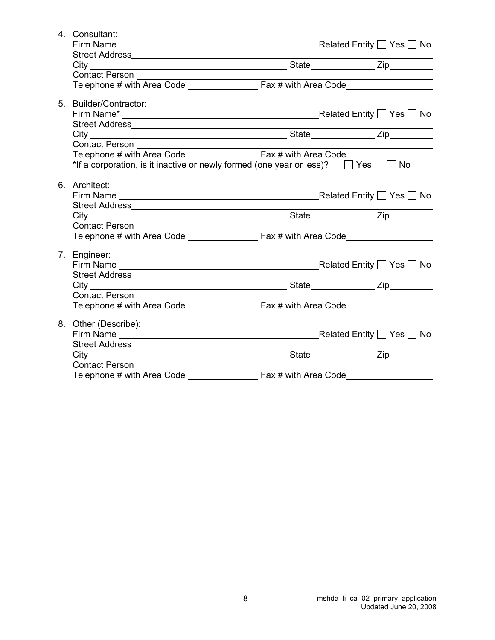| 4. Consultant:                                                                             |  |  |
|--------------------------------------------------------------------------------------------|--|--|
|                                                                                            |  |  |
|                                                                                            |  |  |
|                                                                                            |  |  |
|                                                                                            |  |  |
|                                                                                            |  |  |
|                                                                                            |  |  |
| 5. Builder/Contractor:                                                                     |  |  |
|                                                                                            |  |  |
|                                                                                            |  |  |
| City City State Zip                                                                        |  |  |
|                                                                                            |  |  |
|                                                                                            |  |  |
| *If a corporation, is it inactive or newly formed (one year or less)? $\Box$ Yes $\Box$ No |  |  |
|                                                                                            |  |  |
| 6. Architect:                                                                              |  |  |
|                                                                                            |  |  |
|                                                                                            |  |  |
|                                                                                            |  |  |
|                                                                                            |  |  |
|                                                                                            |  |  |
|                                                                                            |  |  |
| 7. Engineer:                                                                               |  |  |
|                                                                                            |  |  |
|                                                                                            |  |  |
|                                                                                            |  |  |
|                                                                                            |  |  |
|                                                                                            |  |  |
|                                                                                            |  |  |
| 8. Other (Describe):                                                                       |  |  |
|                                                                                            |  |  |
|                                                                                            |  |  |
|                                                                                            |  |  |
|                                                                                            |  |  |
|                                                                                            |  |  |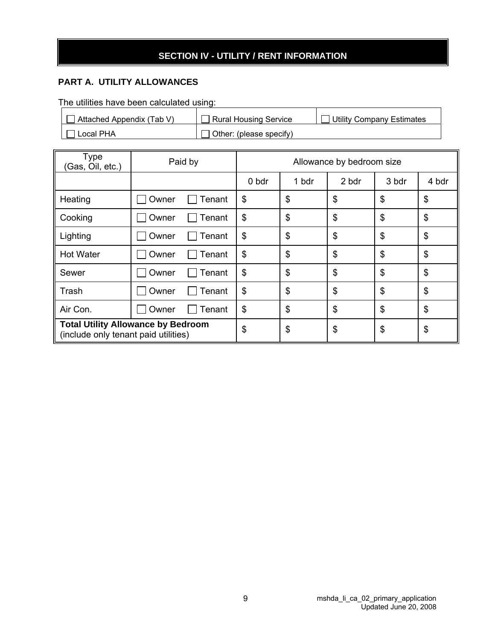## **SECTION IV - UTILITY / RENT INFORMATION**

## **PART A. UTILITY ALLOWANCES**

The utilities have been calculated using:

| Attached Appendix (Tab V) | <b>Rural Housing Service</b>   | <b>Utility Company Estimates</b> |
|---------------------------|--------------------------------|----------------------------------|
| Local PHA                 | $\Box$ Other: (please specify) |                                  |

| Type<br>(Gas, Oil, etc.)                                                          | Paid by         | Allowance by bedroom size |       |                           |                           |                           |
|-----------------------------------------------------------------------------------|-----------------|---------------------------|-------|---------------------------|---------------------------|---------------------------|
|                                                                                   |                 | 0 bdr                     | 1 bdr | 2 bdr                     | 3 bdr                     | 4 bdr                     |
| Heating                                                                           | Tenant<br>Owner | \$                        | \$    | \$                        | \$                        | $\boldsymbol{\mathsf{S}}$ |
| Cooking                                                                           | Owner<br>Tenant | \$                        | \$    | \$                        | \$                        | \$                        |
| Lighting                                                                          | Owner<br>Tenant | \$                        | \$    | $\frac{2}{3}$             | $\boldsymbol{\mathsf{S}}$ | $\boldsymbol{\theta}$     |
| <b>Hot Water</b>                                                                  | Owner<br>Tenant | \$                        | \$    | $\boldsymbol{\mathsf{S}}$ | \$                        | $\boldsymbol{\mathsf{S}}$ |
| Sewer                                                                             | Owner<br>Tenant | \$                        | \$    | $\frac{2}{3}$             | \$                        | $\boldsymbol{\mathsf{S}}$ |
| Trash                                                                             | Owner<br>Tenant | \$                        | \$    | $\frac{1}{2}$             | $\mathfrak{S}$            | \$                        |
| Air Con.                                                                          | Owner<br>Tenant | \$                        | \$    | \$                        | \$                        | \$                        |
| <b>Total Utility Allowance by Bedroom</b><br>(include only tenant paid utilities) | \$              | \$                        | \$    | \$                        | \$                        |                           |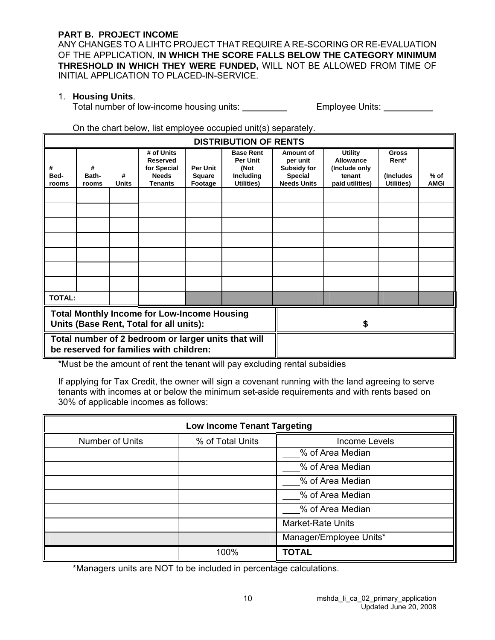#### **PART B. PROJECT INCOME**

ANY CHANGES TO A LIHTC PROJECT THAT REQUIRE A RE-SCORING OR RE-EVALUATION OF THE APPLICATION, **IN WHICH THE SCORE FALLS BELOW THE CATEGORY MINIMUM THRESHOLD IN WHICH THEY WERE FUNDED,** WILL NOT BE ALLOWED FROM TIME OF INITIAL APPLICATION TO PLACED-IN-SERVICE.

#### 1. **Housing Units**.

Total number of low-income housing units: Employee Units:

#### On the chart below, list employee occupied unit(s) separately.

|                                                                                                | <b>DISTRIBUTION OF RENTS</b>                                                                  |                   |                                                                                |                                      |                                                                        |                                                                                     |                                                                           |                                                   |                       |
|------------------------------------------------------------------------------------------------|-----------------------------------------------------------------------------------------------|-------------------|--------------------------------------------------------------------------------|--------------------------------------|------------------------------------------------------------------------|-------------------------------------------------------------------------------------|---------------------------------------------------------------------------|---------------------------------------------------|-----------------------|
| #<br>Bed-<br>rooms                                                                             | #<br>Bath-<br>rooms                                                                           | #<br><b>Units</b> | # of Units<br><b>Reserved</b><br>for Special<br><b>Needs</b><br><b>Tenants</b> | <b>Per Unit</b><br>Square<br>Footage | <b>Base Rent</b><br><b>Per Unit</b><br>(Not<br>Including<br>Utilities) | Amount of<br>per unit<br><b>Subsidy for</b><br><b>Special</b><br><b>Needs Units</b> | <b>Utility</b><br>Allowance<br>(Include only<br>tenant<br>paid utilities) | <b>Gross</b><br>Rent*<br>(Includes)<br>Utilities) | $%$ of<br><b>AMGI</b> |
|                                                                                                |                                                                                               |                   |                                                                                |                                      |                                                                        |                                                                                     |                                                                           |                                                   |                       |
|                                                                                                |                                                                                               |                   |                                                                                |                                      |                                                                        |                                                                                     |                                                                           |                                                   |                       |
|                                                                                                |                                                                                               |                   |                                                                                |                                      |                                                                        |                                                                                     |                                                                           |                                                   |                       |
|                                                                                                |                                                                                               |                   |                                                                                |                                      |                                                                        |                                                                                     |                                                                           |                                                   |                       |
|                                                                                                |                                                                                               |                   |                                                                                |                                      |                                                                        |                                                                                     |                                                                           |                                                   |                       |
|                                                                                                |                                                                                               |                   |                                                                                |                                      |                                                                        |                                                                                     |                                                                           |                                                   |                       |
|                                                                                                |                                                                                               |                   |                                                                                |                                      |                                                                        |                                                                                     |                                                                           |                                                   |                       |
| <b>TOTAL:</b>                                                                                  |                                                                                               |                   |                                                                                |                                      |                                                                        |                                                                                     |                                                                           |                                                   |                       |
|                                                                                                | <b>Total Monthly Income for Low-Income Housing</b><br>Units (Base Rent, Total for all units): |                   |                                                                                |                                      |                                                                        |                                                                                     |                                                                           |                                                   |                       |
| Total number of 2 bedroom or larger units that will<br>be reserved for families with children: |                                                                                               |                   |                                                                                |                                      |                                                                        |                                                                                     |                                                                           |                                                   |                       |

\*Must be the amount of rent the tenant will pay excluding rental subsidies

If applying for Tax Credit, the owner will sign a covenant running with the land agreeing to serve tenants with incomes at or below the minimum set-aside requirements and with rents based on 30% of applicable incomes as follows:

| <b>Low Income Tenant Targeting</b> |                  |                          |  |  |
|------------------------------------|------------------|--------------------------|--|--|
| Number of Units                    | % of Total Units | <b>Income Levels</b>     |  |  |
|                                    |                  | % of Area Median         |  |  |
|                                    |                  | % of Area Median         |  |  |
|                                    |                  | % of Area Median         |  |  |
|                                    |                  | % of Area Median         |  |  |
|                                    |                  | % of Area Median         |  |  |
|                                    |                  | <b>Market-Rate Units</b> |  |  |
|                                    |                  | Manager/Employee Units*  |  |  |
|                                    | 100%             | <b>TOTAL</b>             |  |  |

\*Managers units are NOT to be included in percentage calculations.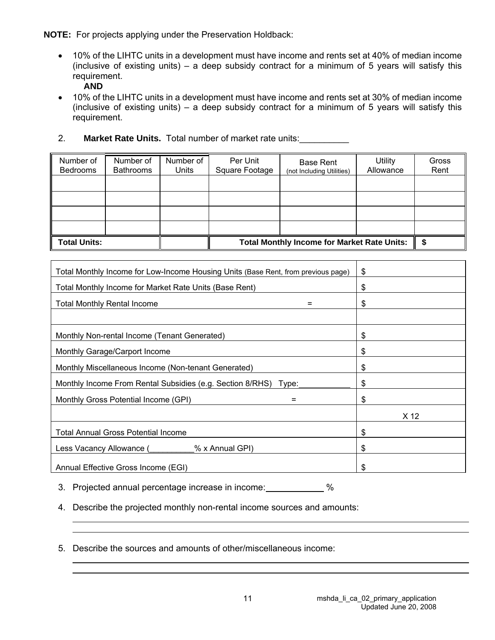**NOTE:** For projects applying under the Preservation Holdback:

• 10% of the LIHTC units in a development must have income and rents set at 40% of median income (inclusive of existing units) – a deep subsidy contract for a minimum of 5 years will satisfy this requirement.

**AND** 

- 10% of the LIHTC units in a development must have income and rents set at 30% of median income (inclusive of existing units) – a deep subsidy contract for a minimum of 5 years will satisfy this requirement.
- 2. **Market Rate Units.** Total number of market rate units:\_\_\_\_\_\_\_\_\_\_

| Number of<br><b>Bedrooms</b> | Number of<br><b>Bathrooms</b> | Number of<br>Units | Per Unit<br>Square Footage                         | <b>Base Rent</b><br>(not Including Utilities) | <b>Utility</b><br>Allowance | Gross<br>Rent |
|------------------------------|-------------------------------|--------------------|----------------------------------------------------|-----------------------------------------------|-----------------------------|---------------|
|                              |                               |                    |                                                    |                                               |                             |               |
|                              |                               |                    |                                                    |                                               |                             |               |
|                              |                               |                    |                                                    |                                               |                             |               |
|                              |                               |                    |                                                    |                                               |                             |               |
| <b>Total Units:</b>          |                               |                    | <b>Total Monthly Income for Market Rate Units:</b> |                                               |                             |               |

| Total Monthly Income for Low-Income Housing Units (Base Rent, from previous page) | \$   |
|-----------------------------------------------------------------------------------|------|
| Total Monthly Income for Market Rate Units (Base Rent)                            | \$   |
| <b>Total Monthly Rental Income</b><br>$=$                                         | \$   |
|                                                                                   |      |
| Monthly Non-rental Income (Tenant Generated)                                      | \$   |
| Monthly Garage/Carport Income                                                     | \$   |
| Monthly Miscellaneous Income (Non-tenant Generated)                               | \$   |
| Monthly Income From Rental Subsidies (e.g. Section 8/RHS) Type:                   | \$   |
| Monthly Gross Potential Income (GPI)<br>$=$                                       | \$   |
|                                                                                   | X 12 |
| <b>Total Annual Gross Potential Income</b>                                        | \$   |
| % x Annual GPI)<br>Less Vacancy Allowance (                                       | \$   |
| Annual Effective Gross Income (EGI)                                               | \$   |

3. Projected annual percentage increase in income: %

4. Describe the projected monthly non-rental income sources and amounts:

5. Describe the sources and amounts of other/miscellaneous income: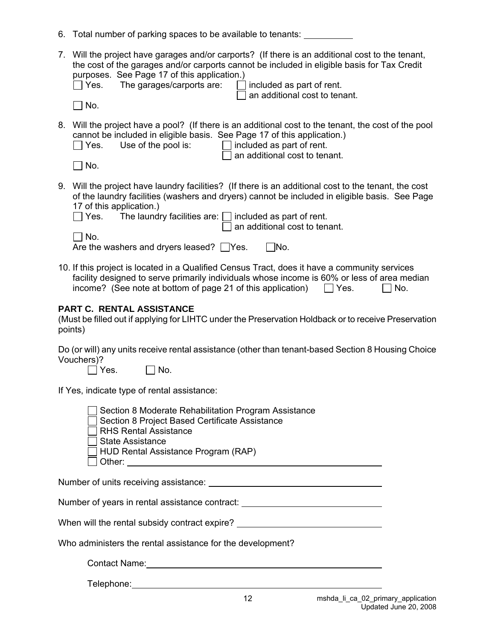|  |  | 6. Total number of parking spaces to be available to tenants: |  |
|--|--|---------------------------------------------------------------|--|
|--|--|---------------------------------------------------------------|--|

| 7. Will the project have garages and/or carports? (If there is an additional cost to the tenant, |
|--------------------------------------------------------------------------------------------------|
| the cost of the garages and/or carports cannot be included in eligible basis for Tax Credit      |
| purposes. See Page 17 of this application.)                                                      |
| — <i>I I I</i> <b>I I</b> II <i>I I I</i>                                                        |

|  | $\Box$ Yes. | The garages/carports a |  |  |
|--|-------------|------------------------|--|--|
|--|-------------|------------------------|--|--|

 $\mathsf{A}$ re:  $\Box$  included as part of rent.  $\exists$  an additional cost to tenant.

 $\Box$  No.

8. Will the project have a pool? (If there is an additional cost to the tenant, the cost of the pool cannot be included in eligible basis. See Page 17 of this application.)

| $\Box$ Yes. | Use of the pool is: | $\Box$ included as part of rent.     |
|-------------|---------------------|--------------------------------------|
|             |                     | $\Box$ an additional cost to tenant. |
| $\Box$ No.  |                     |                                      |

| ۰. |
|----|
|    |

9. Will the project have laundry facilities? (If there is an additional cost to the tenant, the cost of the laundry facilities (washers and dryers) cannot be included in eligible basis. See Page 17 of this application.

|            | $\Box$ Yes. The laundry facilities are: $\Box$ included as part of rent. |
|------------|--------------------------------------------------------------------------|
|            | $\Box$ an additional cost to tenant.                                     |
| $\Box$ No. |                                                                          |

| ___                                            |  |            |
|------------------------------------------------|--|------------|
| Are the washers and dryers leased? $\Box$ Yes. |  | $\Box$ No. |

10. If this project is located in a Qualified Census Tract, does it have a community services facility designed to serve primarily individuals whose income is 60% or less of area median income? (See note at bottom of page 21 of this application)  $\Box$  Yes.  $\Box$  No.

## **PART C. RENTAL ASSISTANCE**

(Must be filled out if applying for LIHTC under the Preservation Holdback or to receive Preservation points)

Do (or will) any units receive rental assistance (other than tenant-based Section 8 Housing Choice Vouchers)?

 $\Box$  Yes.  $\Box$  No.

If Yes, indicate type of rental assistance:

| Section 8 Moderate Rehabilitation Program Assistance |  |
|------------------------------------------------------|--|
| Section 8 Project Based Certificate Assistance       |  |
| $\Box$ RHS Rental Assistance                         |  |
| $\Box$ State Assistance                              |  |
| $\Box$ HUD Rental Assistance Program (RAP)           |  |
| $\Box$ Other:                                        |  |

Number of units receiving assistance:

Number of years in rental assistance contract: University of Vears in rental assistance contract:

| When will the rental subsidy contract expire? |  |
|-----------------------------------------------|--|
|-----------------------------------------------|--|

Who administers the rental assistance for the development?

Contact Name:

Telephone: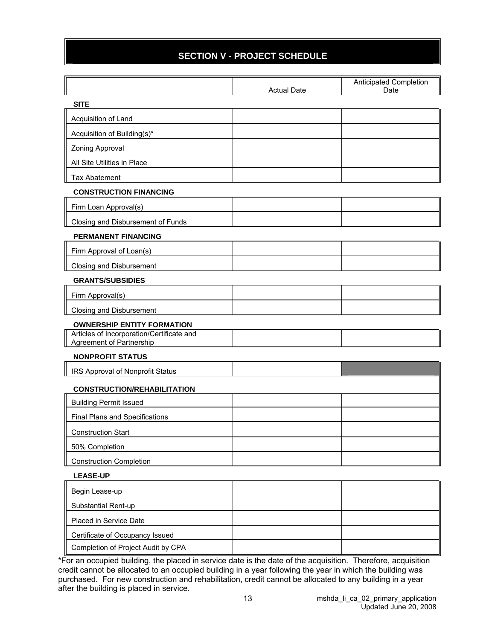## **SECTION V - PROJECT SCHEDULE**

|                                                                       | <b>Actual Date</b> | Anticipated Completion<br>Date |
|-----------------------------------------------------------------------|--------------------|--------------------------------|
| <b>SITE</b>                                                           |                    |                                |
| Acquisition of Land                                                   |                    |                                |
| Acquisition of Building(s)*                                           |                    |                                |
| Zoning Approval                                                       |                    |                                |
| All Site Utilities in Place                                           |                    |                                |
| <b>Tax Abatement</b>                                                  |                    |                                |
| <b>CONSTRUCTION FINANCING</b>                                         |                    |                                |
| Firm Loan Approval(s)                                                 |                    |                                |
| Closing and Disbursement of Funds                                     |                    |                                |
| <b>PERMANENT FINANCING</b>                                            |                    |                                |
| Firm Approval of Loan(s)                                              |                    |                                |
| Closing and Disbursement                                              |                    |                                |
| <b>GRANTS/SUBSIDIES</b>                                               |                    |                                |
| Firm Approval(s)                                                      |                    |                                |
| <b>Closing and Disbursement</b>                                       |                    |                                |
| <b>OWNERSHIP ENTITY FORMATION</b>                                     |                    |                                |
| Articles of Incorporation/Certificate and<br>Agreement of Partnership |                    |                                |
| <b>NONPROFIT STATUS</b>                                               |                    |                                |
| IRS Approval of Nonprofit Status                                      |                    |                                |
| <b>CONSTRUCTION/REHABILITATION</b>                                    |                    |                                |
| <b>Building Permit Issued</b>                                         |                    |                                |
| Final Plans and Specifications                                        |                    |                                |
| <b>Construction Start</b>                                             |                    |                                |
| 50% Completion                                                        |                    |                                |
| <b>Construction Completion</b>                                        |                    |                                |
| <b>LEASE-UP</b>                                                       |                    |                                |
| Begin Lease-up                                                        |                    |                                |
| Substantial Rent-up                                                   |                    |                                |
| Placed in Service Date                                                |                    |                                |
| Certificate of Occupancy Issued                                       |                    |                                |
| Completion of Project Audit by CPA                                    |                    |                                |

\*For an occupied building, the placed in service date is the date of the acquisition. Therefore, acquisition credit cannot be allocated to an occupied building in a year following the year in which the building was purchased. For new construction and rehabilitation, credit cannot be allocated to any building in a year after the building is placed in service.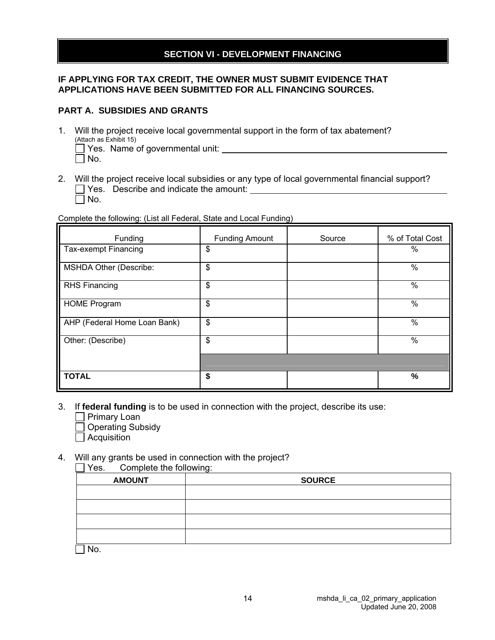#### **SECTION VI - DEVELOPMENT FINANCING**

#### **IF APPLYING FOR TAX CREDIT, THE OWNER MUST SUBMIT EVIDENCE THAT APPLICATIONS HAVE BEEN SUBMITTED FOR ALL FINANCING SOURCES.**

#### **PART A. SUBSIDIES AND GRANTS**

- 1. Will the project receive local governmental support in the form of tax abatement? (Attach as Exhibit 15) Yes. Name of governmental unit:
	- $\Box$  No.
- 2. Will the project receive local subsidies or any type of local governmental financial support?  $\Box$  Yes. Describe and indicate the amount:  $\Box$  No.

Complete the following: (List all Federal, State and Local Funding)

| Funding                       | <b>Funding Amount</b> | Source | % of Total Cost |
|-------------------------------|-----------------------|--------|-----------------|
| <b>Tax-exempt Financing</b>   | \$                    |        | %               |
| <b>MSHDA Other (Describe:</b> | $\frac{1}{2}$         |        | %               |
| <b>RHS Financing</b>          | \$                    |        | %               |
| <b>HOME Program</b>           | \$                    |        | %               |
| AHP (Federal Home Loan Bank)  | $\frac{1}{2}$         |        | %               |
| Other: (Describe)             | \$                    |        | $\%$            |
|                               |                       |        |                 |
| <b>TOTAL</b>                  | \$                    |        | %               |

- 3. If **federal funding** is to be used in connection with the project, describe its use:
	- **Primary Loan**
	- □ Operating Subsidy
	- $\Box$  Acquisition

#### 4. Will any grants be used in connection with the project?

 Yes. Complete the following: AMOUNT RESERVES AND SOURCE

No.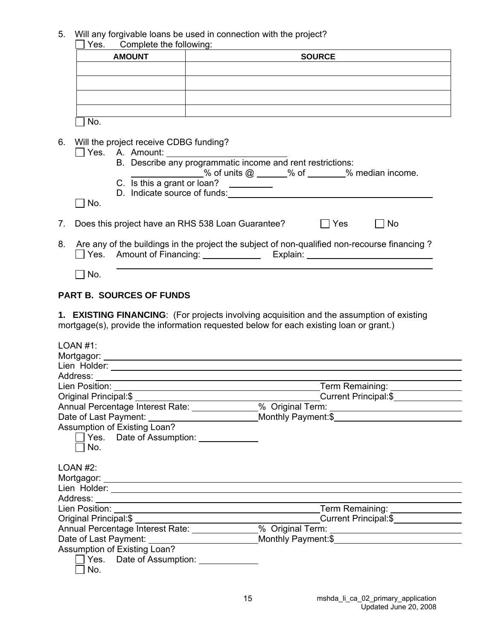5. Will any forgivable loans be used in connection with the project?

| Complete the following:<br>Yes. |               |
|---------------------------------|---------------|
| <b>AMOUNT</b>                   | <b>SOURCE</b> |
|                                 |               |
|                                 |               |
|                                 |               |
|                                 |               |
|                                 |               |

6. Will the project receive CDBG funding?

|    | Yes.       | A. Amount:                                                                                                                                                                                                                                                                                                                                                         |
|----|------------|--------------------------------------------------------------------------------------------------------------------------------------------------------------------------------------------------------------------------------------------------------------------------------------------------------------------------------------------------------------------|
|    |            | B. Describe any programmatic income and rent restrictions:                                                                                                                                                                                                                                                                                                         |
|    |            | % of units $@ \_\_\_\%$ of $\_\_\_\%$ median income.                                                                                                                                                                                                                                                                                                               |
|    |            | C. Is this a grant or loan?                                                                                                                                                                                                                                                                                                                                        |
|    |            | D. Indicate source of funds:                                                                                                                                                                                                                                                                                                                                       |
|    | $\Box$ No. |                                                                                                                                                                                                                                                                                                                                                                    |
| 7. |            | Does this project have an RHS 538 Loan Guarantee?<br>Yes<br>No.                                                                                                                                                                                                                                                                                                    |
| 8. |            | Are any of the buildings in the project the subject of non-qualified non-recourse financing?<br>$\Box$ Yes. Amount of Financing:<br>Explain: Explaint and the state of the state of the state of the state of the state of the state of the state of the state of the state of the state of the state of the state of the state of the state of the state of the s |

 $\Box$  No.

## **PART B. SOURCES OF FUNDS**

**1. EXISTING FINANCING**: (For projects involving acquisition and the assumption of existing mortgage(s), provide the information requested below for each existing loan or grant.)

| LOAN #1:                              |                                                                                   |  |
|---------------------------------------|-----------------------------------------------------------------------------------|--|
|                                       |                                                                                   |  |
|                                       |                                                                                   |  |
|                                       |                                                                                   |  |
|                                       |                                                                                   |  |
|                                       | Current Principal:\$                                                              |  |
|                                       | Annual Percentage Interest Rate: _____________ % Original Term: _________________ |  |
|                                       |                                                                                   |  |
| Assumption of Existing Loan?          |                                                                                   |  |
| Yes. Date of Assumption:              |                                                                                   |  |
| No.                                   |                                                                                   |  |
|                                       |                                                                                   |  |
| LOAN #2:                              |                                                                                   |  |
|                                       |                                                                                   |  |
|                                       |                                                                                   |  |
|                                       |                                                                                   |  |
|                                       | Term Remaining: _________________                                                 |  |
|                                       | Current Principal:\$                                                              |  |
|                                       | Annual Percentage Interest Rate: _____________% Original Term: __________________ |  |
|                                       |                                                                                   |  |
| Assumption of Existing Loan?          |                                                                                   |  |
| Yes. Date of Assumption: ____________ |                                                                                   |  |
| No.                                   |                                                                                   |  |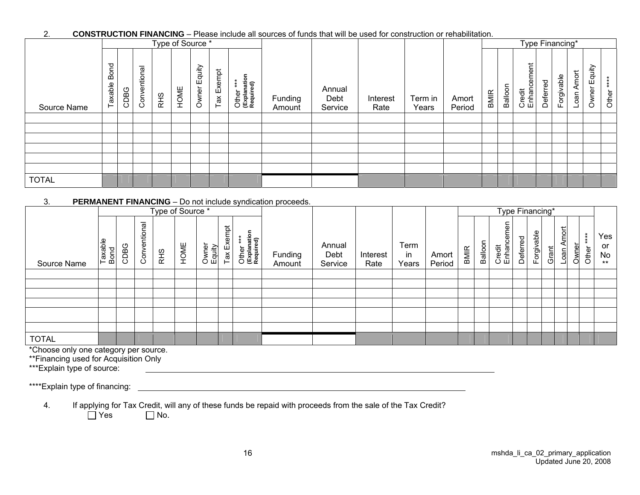#### 2. **CONSTRUCTION FINANCING** – Please include all sources of funds that will be used for construction or rehabilitation.

|              |                     |      |                                    |     | Type of Source * |                 |            |                                        |                   |                           |                  |                  |                 |      |         | Type Financing*            |          |            |                   |                     |                           |
|--------------|---------------------|------|------------------------------------|-----|------------------|-----------------|------------|----------------------------------------|-------------------|---------------------------|------------------|------------------|-----------------|------|---------|----------------------------|----------|------------|-------------------|---------------------|---------------------------|
| Source Name  | ond<br>≃<br>Taxable | CDBG | ल<br>entiona<br>$\frac{8}{5}$<br>ပ | RHS | HOME             | Equity<br>Owner | Tax Exempt | Other ***<br>(Explanation<br>Required) | Funding<br>Amount | Annual<br>Debt<br>Service | Interest<br>Rate | Term in<br>Years | Amort<br>Period | BMIR | Balloon | cement<br>Credit<br>Enhano | Deferred | Forgivable | Amort<br>neo<br>ᆜ | Equity<br>wner<br>0 | $\ast$<br>$\ast$<br>Other |
|              |                     |      |                                    |     |                  |                 |            |                                        |                   |                           |                  |                  |                 |      |         |                            |          |            |                   |                     |                           |
|              |                     |      |                                    |     |                  |                 |            |                                        |                   |                           |                  |                  |                 |      |         |                            |          |            |                   |                     |                           |
|              |                     |      |                                    |     |                  |                 |            |                                        |                   |                           |                  |                  |                 |      |         |                            |          |            |                   |                     |                           |
|              |                     |      |                                    |     |                  |                 |            |                                        |                   |                           |                  |                  |                 |      |         |                            |          |            |                   |                     |                           |
|              |                     |      |                                    |     |                  |                 |            |                                        |                   |                           |                  |                  |                 |      |         |                            |          |            |                   |                     |                           |
|              |                     |      |                                    |     |                  |                 |            |                                        |                   |                           |                  |                  |                 |      |         |                            |          |            |                   |                     |                           |
| <b>TOTAL</b> |                     |      |                                    |     |                  |                 |            |                                        |                   |                           |                  |                  |                 |      |         |                            |          |            |                   |                     |                           |

#### 3. **PERMANENT FINANCING** – Do not include syndication proceeds.

|              |                 |      |                               | Type of Source * |      |                 |            |                                        |                   |                           |                  |                     |                 |      |         | Type Financing*      |          |            |       |                         |       |       |                          |
|--------------|-----------------|------|-------------------------------|------------------|------|-----------------|------------|----------------------------------------|-------------------|---------------------------|------------------|---------------------|-----------------|------|---------|----------------------|----------|------------|-------|-------------------------|-------|-------|--------------------------|
| Source Name  | Taxable<br>Bond | CDBG | <u>le</u> u<br>entior<br>Conv | RHS              | HOME | Owner<br>Equity | Tax Exempt | Other ***<br>(Explanation<br>Required) | Funding<br>Amount | Annual<br>Debt<br>Service | Interest<br>Rate | Term<br>in<br>Years | Amort<br>Period | BMIR | Balloon | Credit<br>Enhancemen | Deferred | Forgivable | Grant | <b>Amort</b><br>$L$ oan | Owner | Other | Yes<br>or<br>No<br>$***$ |
|              |                 |      |                               |                  |      |                 |            |                                        |                   |                           |                  |                     |                 |      |         |                      |          |            |       |                         |       |       |                          |
|              |                 |      |                               |                  |      |                 |            |                                        |                   |                           |                  |                     |                 |      |         |                      |          |            |       |                         |       |       |                          |
|              |                 |      |                               |                  |      |                 |            |                                        |                   |                           |                  |                     |                 |      |         |                      |          |            |       |                         |       |       |                          |
|              |                 |      |                               |                  |      |                 |            |                                        |                   |                           |                  |                     |                 |      |         |                      |          |            |       |                         |       |       |                          |
|              |                 |      |                               |                  |      |                 |            |                                        |                   |                           |                  |                     |                 |      |         |                      |          |            |       |                         |       |       |                          |
|              |                 |      |                               |                  |      |                 |            |                                        |                   |                           |                  |                     |                 |      |         |                      |          |            |       |                         |       |       |                          |
| <b>TOTAL</b> |                 |      |                               |                  |      |                 |            |                                        |                   |                           |                  |                     |                 |      |         |                      |          |            |       |                         |       |       |                          |

\*Choose only one category per source.

\*\*Financing used for Acquisition Only

\*\*\*Explain type of source:

\*\*\*\*Explain type of financing:

4. If applying for Tax Credit, will any of these funds be repaid with proceeds from the sale of the Tax Credit?<br>  $\Box$  Yes  $\Box$  No.

 $\Box$  No.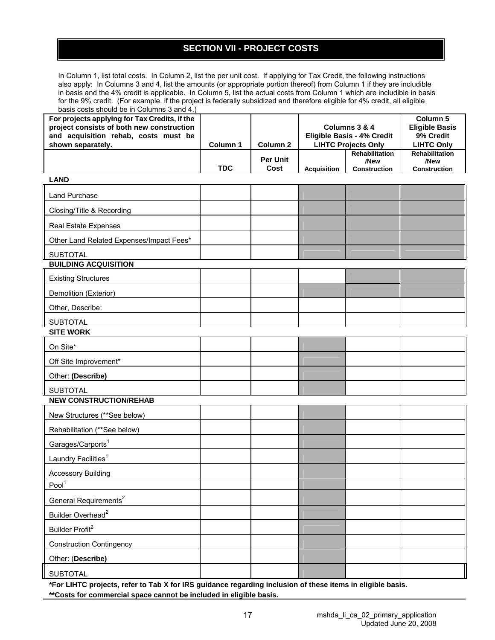## **SECTION VII - PROJECT COSTS**

In Column 1, list total costs. In Column 2, list the per unit cost. If applying for Tax Credit, the following instructions also apply: In Columns 3 and 4, list the amounts (or appropriate portion thereof) from Column 1 if they are includible in basis and the 4% credit is applicable. In Column 5, list the actual costs from Column 1 which are includible in basis for the 9% credit. (For example, if the project is federally subsidized and therefore eligible for 4% credit, all eligible basis costs should be in Columns 3 and  $4.1$ 

| $_{\text{Dasis}}$ costs should be in Coldmins 5 and 4.<br>For projects applying for Tax Credits, if the<br>project consists of both new construction<br>and acquisition rehab, costs must be<br>shown separately. | Column 1   | Column <sub>2</sub>     |                    | Columns 3 & 4<br>Eligible Basis - 4% Credit<br><b>LIHTC Projects Only</b> | Column 5<br><b>Eligible Basis</b><br>9% Credit<br><b>LIHTC Only</b> |
|-------------------------------------------------------------------------------------------------------------------------------------------------------------------------------------------------------------------|------------|-------------------------|--------------------|---------------------------------------------------------------------------|---------------------------------------------------------------------|
|                                                                                                                                                                                                                   | <b>TDC</b> | <b>Per Unit</b><br>Cost | <b>Acquisition</b> | Rehabilitation<br>/New<br>Construction                                    | Rehabilitation<br>/New<br>Construction                              |
| <b>LAND</b>                                                                                                                                                                                                       |            |                         |                    |                                                                           |                                                                     |
| <b>Land Purchase</b>                                                                                                                                                                                              |            |                         |                    |                                                                           |                                                                     |
| Closing/Title & Recording                                                                                                                                                                                         |            |                         |                    |                                                                           |                                                                     |
| Real Estate Expenses                                                                                                                                                                                              |            |                         |                    |                                                                           |                                                                     |
| Other Land Related Expenses/Impact Fees*                                                                                                                                                                          |            |                         |                    |                                                                           |                                                                     |
| <b>SUBTOTAL</b>                                                                                                                                                                                                   |            |                         |                    |                                                                           |                                                                     |
| <b>BUILDING ACQUISITION</b>                                                                                                                                                                                       |            |                         |                    |                                                                           |                                                                     |
| <b>Existing Structures</b>                                                                                                                                                                                        |            |                         |                    |                                                                           |                                                                     |
| Demolition (Exterior)                                                                                                                                                                                             |            |                         |                    |                                                                           |                                                                     |
| Other, Describe:                                                                                                                                                                                                  |            |                         |                    |                                                                           |                                                                     |
| <b>SUBTOTAL</b>                                                                                                                                                                                                   |            |                         |                    |                                                                           |                                                                     |
| <b>SITE WORK</b>                                                                                                                                                                                                  |            |                         |                    |                                                                           |                                                                     |
| On Site*                                                                                                                                                                                                          |            |                         |                    |                                                                           |                                                                     |
| Off Site Improvement*                                                                                                                                                                                             |            |                         |                    |                                                                           |                                                                     |
| Other: (Describe)                                                                                                                                                                                                 |            |                         |                    |                                                                           |                                                                     |
| <b>SUBTOTAL</b><br><b>NEW CONSTRUCTION/REHAB</b>                                                                                                                                                                  |            |                         |                    |                                                                           |                                                                     |
| New Structures (**See below)                                                                                                                                                                                      |            |                         |                    |                                                                           |                                                                     |
| Rehabilitation (**See below)                                                                                                                                                                                      |            |                         |                    |                                                                           |                                                                     |
| Garages/Carports <sup>1</sup>                                                                                                                                                                                     |            |                         |                    |                                                                           |                                                                     |
| Laundry Facilities <sup>1</sup>                                                                                                                                                                                   |            |                         |                    |                                                                           |                                                                     |
| <b>Accessory Building</b>                                                                                                                                                                                         |            |                         |                    |                                                                           |                                                                     |
| Pool <sup>1</sup>                                                                                                                                                                                                 |            |                         |                    |                                                                           |                                                                     |
| General Requirements <sup>2</sup>                                                                                                                                                                                 |            |                         |                    |                                                                           |                                                                     |
| Builder Overhead <sup>2</sup>                                                                                                                                                                                     |            |                         |                    |                                                                           |                                                                     |
| Builder Profit <sup>2</sup>                                                                                                                                                                                       |            |                         |                    |                                                                           |                                                                     |
| <b>Construction Contingency</b>                                                                                                                                                                                   |            |                         |                    |                                                                           |                                                                     |
| Other: (Describe)                                                                                                                                                                                                 |            |                         |                    |                                                                           |                                                                     |
| <b>SUBTOTAL</b>                                                                                                                                                                                                   |            |                         |                    |                                                                           |                                                                     |

**\*For LIHTC projects, refer to Tab X for IRS guidance regarding inclusion of these items in eligible basis. \*\*Costs for commercial space cannot be included in eligible basis.**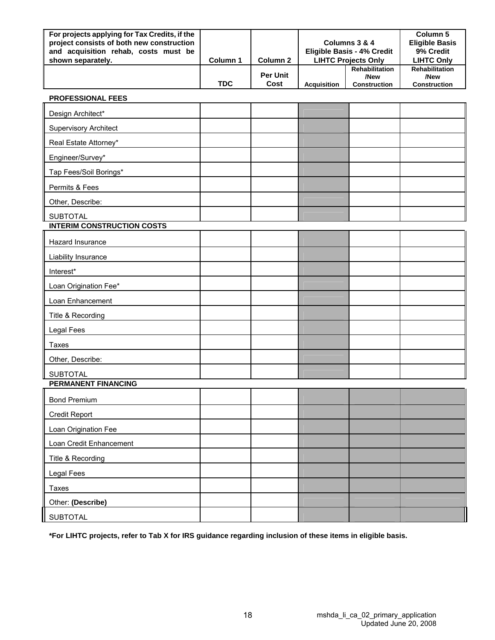| For projects applying for Tax Credits, if the<br>project consists of both new construction<br>and acquisition rehab, costs must be<br>shown separately. | Column 1   | Column 2                |                    | Columns 3 & 4<br>Eligible Basis - 4% Credit<br><b>LIHTC Projects Only</b> | Column 5<br><b>Eligible Basis</b><br>9% Credit<br><b>LIHTC Only</b> |
|---------------------------------------------------------------------------------------------------------------------------------------------------------|------------|-------------------------|--------------------|---------------------------------------------------------------------------|---------------------------------------------------------------------|
|                                                                                                                                                         | <b>TDC</b> | <b>Per Unit</b><br>Cost | <b>Acquisition</b> | <b>Rehabilitation</b><br>/New<br><b>Construction</b>                      | <b>Rehabilitation</b><br>/New<br><b>Construction</b>                |

| <b>PROFESSIONAL FEES</b> |  |
|--------------------------|--|
|--------------------------|--|

| Design Architect*                 |  |  |  |
|-----------------------------------|--|--|--|
| <b>Supervisory Architect</b>      |  |  |  |
| Real Estate Attorney*             |  |  |  |
| Engineer/Survey*                  |  |  |  |
| Tap Fees/Soil Borings*            |  |  |  |
| Permits & Fees                    |  |  |  |
| Other, Describe:                  |  |  |  |
| <b>SUBTOTAL</b>                   |  |  |  |
| <b>INTERIM CONSTRUCTION COSTS</b> |  |  |  |
| Hazard Insurance                  |  |  |  |
| Liability Insurance               |  |  |  |
| Interest*                         |  |  |  |
| Loan Origination Fee*             |  |  |  |
| Loan Enhancement                  |  |  |  |
| Title & Recording                 |  |  |  |
| <b>Legal Fees</b>                 |  |  |  |
| Taxes                             |  |  |  |
| Other, Describe:                  |  |  |  |
| <b>SUBTOTAL</b>                   |  |  |  |
| <b>PERMANENT FINANCING</b>        |  |  |  |
| <b>Bond Premium</b>               |  |  |  |
| <b>Credit Report</b>              |  |  |  |
| Loan Origination Fee              |  |  |  |
| Loan Credit Enhancement           |  |  |  |
| Title & Recording                 |  |  |  |
| <b>Legal Fees</b>                 |  |  |  |
| Taxes                             |  |  |  |
| Other: (Describe)                 |  |  |  |
| <b>SUBTOTAL</b>                   |  |  |  |

**\*For LIHTC projects, refer to Tab X for IRS guidance regarding inclusion of these items in eligible basis.**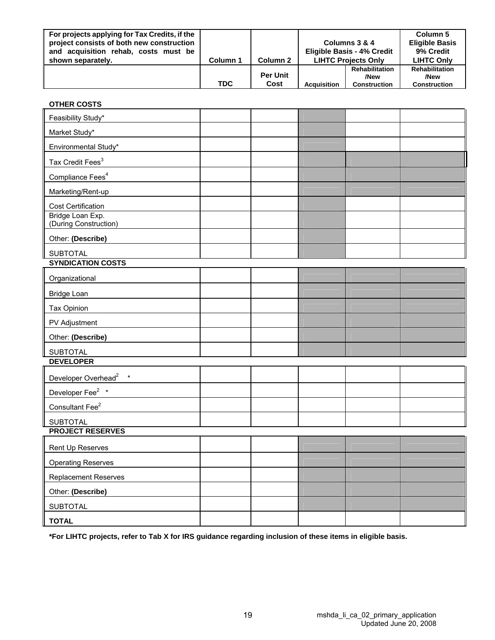| For projects applying for Tax Credits, if the<br>project consists of both new construction<br>and acquisition rehab, costs must be |            |                         |                            | Columns 3 & 4<br>Eligible Basis - 4% Credit          |                                                      |
|------------------------------------------------------------------------------------------------------------------------------------|------------|-------------------------|----------------------------|------------------------------------------------------|------------------------------------------------------|
| shown separately.                                                                                                                  | Column 1   | Column 2                | <b>LIHTC Projects Only</b> | <b>LIHTC Only</b>                                    |                                                      |
|                                                                                                                                    | <b>TDC</b> | <b>Per Unit</b><br>Cost | <b>Acquisition</b>         | <b>Rehabilitation</b><br>/New<br><b>Construction</b> | <b>Rehabilitation</b><br>/New<br><b>Construction</b> |
|                                                                                                                                    |            |                         |                            |                                                      |                                                      |

| <b>OTHER COSTS</b>                        |  |  |  |
|-------------------------------------------|--|--|--|
| Feasibility Study*                        |  |  |  |
| Market Study*                             |  |  |  |
| Environmental Study*                      |  |  |  |
| Tax Credit Fees <sup>3</sup>              |  |  |  |
| Compliance Fees <sup>4</sup>              |  |  |  |
| Marketing/Rent-up                         |  |  |  |
| Cost Certification                        |  |  |  |
| Bridge Loan Exp.<br>(During Construction) |  |  |  |
| Other: (Describe)                         |  |  |  |
| <b>SUBTOTAL</b>                           |  |  |  |
| <b>SYNDICATION COSTS</b>                  |  |  |  |
| Organizational                            |  |  |  |
| <b>Bridge Loan</b>                        |  |  |  |
| Tax Opinion                               |  |  |  |
| PV Adjustment                             |  |  |  |
| Other: (Describe)                         |  |  |  |
| <b>SUBTOTAL</b>                           |  |  |  |
| <b>DEVELOPER</b>                          |  |  |  |
| Developer Overhead <sup>2</sup> *         |  |  |  |
| Developer Fee <sup>2</sup> *              |  |  |  |
| Consultant Fee <sup>2</sup>               |  |  |  |
| <b>SUBTOTAL</b>                           |  |  |  |
| <b>PROJECT RESERVES</b>                   |  |  |  |
| Rent Up Reserves                          |  |  |  |
| <b>Operating Reserves</b>                 |  |  |  |
| <b>Replacement Reserves</b>               |  |  |  |
| Other: (Describe)                         |  |  |  |
| <b>SUBTOTAL</b>                           |  |  |  |
| <b>TOTAL</b>                              |  |  |  |

**\*For LIHTC projects, refer to Tab X for IRS guidance regarding inclusion of these items in eligible basis.**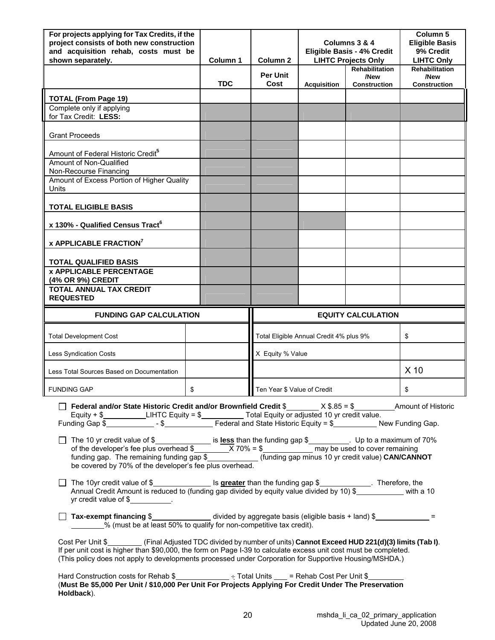| For projects applying for Tax Credits, if the<br>project consists of both new construction<br>and acquisition rehab, costs must be<br>shown separately.                                                                                                                                                                                             | Column 1   | Column 2                    |                                         | Columns 3 & 4<br><b>Eligible Basis - 4% Credit</b><br><b>LIHTC Projects Only</b> | Column 5<br><b>Eligible Basis</b><br>9% Credit<br><b>LIHTC Only</b> |
|-----------------------------------------------------------------------------------------------------------------------------------------------------------------------------------------------------------------------------------------------------------------------------------------------------------------------------------------------------|------------|-----------------------------|-----------------------------------------|----------------------------------------------------------------------------------|---------------------------------------------------------------------|
|                                                                                                                                                                                                                                                                                                                                                     | <b>TDC</b> | <b>Per Unit</b><br>Cost     | <b>Acquisition</b>                      | <b>Rehabilitation</b><br>/New<br><b>Construction</b>                             | Rehabilitation<br>/New<br><b>Construction</b>                       |
| <b>TOTAL (From Page 19)</b>                                                                                                                                                                                                                                                                                                                         |            |                             |                                         |                                                                                  |                                                                     |
| Complete only if applying<br>for Tax Credit: LESS:                                                                                                                                                                                                                                                                                                  |            |                             |                                         |                                                                                  |                                                                     |
| <b>Grant Proceeds</b>                                                                                                                                                                                                                                                                                                                               |            |                             |                                         |                                                                                  |                                                                     |
| Amount of Federal Historic Credit <sup>5</sup>                                                                                                                                                                                                                                                                                                      |            |                             |                                         |                                                                                  |                                                                     |
| Amount of Non-Qualified<br>Non-Recourse Financing                                                                                                                                                                                                                                                                                                   |            |                             |                                         |                                                                                  |                                                                     |
| Amount of Excess Portion of Higher Quality<br>Units                                                                                                                                                                                                                                                                                                 |            |                             |                                         |                                                                                  |                                                                     |
| <b>TOTAL ELIGIBLE BASIS</b>                                                                                                                                                                                                                                                                                                                         |            |                             |                                         |                                                                                  |                                                                     |
| x 130% - Qualified Census Tract <sup>6</sup>                                                                                                                                                                                                                                                                                                        |            |                             |                                         |                                                                                  |                                                                     |
| <b>x APPLICABLE FRACTION<sup>7</sup></b>                                                                                                                                                                                                                                                                                                            |            |                             |                                         |                                                                                  |                                                                     |
| <b>TOTAL QUALIFIED BASIS</b>                                                                                                                                                                                                                                                                                                                        |            |                             |                                         |                                                                                  |                                                                     |
| <b>x APPLICABLE PERCENTAGE</b><br>(4% OR 9%) CREDIT                                                                                                                                                                                                                                                                                                 |            |                             |                                         |                                                                                  |                                                                     |
| <b>TOTAL ANNUAL TAX CREDIT</b><br><b>REQUESTED</b>                                                                                                                                                                                                                                                                                                  |            |                             |                                         |                                                                                  |                                                                     |
|                                                                                                                                                                                                                                                                                                                                                     |            |                             |                                         |                                                                                  |                                                                     |
| <b>FUNDING GAP CALCULATION</b>                                                                                                                                                                                                                                                                                                                      |            |                             |                                         | <b>EQUITY CALCULATION</b>                                                        |                                                                     |
| <b>Total Development Cost</b>                                                                                                                                                                                                                                                                                                                       |            |                             | Total Eligible Annual Credit 4% plus 9% |                                                                                  | \$                                                                  |
| <b>Less Syndication Costs</b>                                                                                                                                                                                                                                                                                                                       |            | X Equity % Value            |                                         |                                                                                  |                                                                     |
| Less Total Sources Based on Documentation                                                                                                                                                                                                                                                                                                           |            |                             |                                         |                                                                                  | X <sub>10</sub>                                                     |
| FUNDING GAP                                                                                                                                                                                                                                                                                                                                         |            | Ten Year \$ Value of Credit |                                         |                                                                                  | \$                                                                  |
| □ Federal and/or State Historic Credit and/or Brownfield Credit \$_______ X \$.85 = \$_____________Amount of Historic                                                                                                                                                                                                                               |            |                             |                                         |                                                                                  |                                                                     |
| The 10 yr credit value of \$_________________ is less than the funding gap \$__________. Up to a maximum of 70%<br>funding gap. The remaining funding gap \$______________ (funding gap minus 10 yr credit value) CAN/CANNOT<br>be covered by 70% of the developer's fee plus overhead.                                                             |            |                             |                                         |                                                                                  |                                                                     |
| The 10yr credit value of \$______________________ Is greater than the funding gap \$_____________. Therefore, the<br>Annual Credit Amount is reduced to (funding gap divided by equity value divided by 10) \$___________ with a 10<br>yr credit value of $\frac{1}{2}$ .                                                                           |            |                             |                                         |                                                                                  |                                                                     |
| Tax-exempt financing $\frac{2}{1}$ divided by aggregate basis (eligible basis + land) $\frac{2}{1}$ = $\frac{1}{2}$ = $\frac{1}{2}$ = $\frac{1}{2}$ (must be at least 50% to qualify for non-competitive tax credit).                                                                                                                               |            |                             |                                         |                                                                                  |                                                                     |
| Cost Per Unit \$__________(Final Adjusted TDC divided by number of units) Cannot Exceed HUD 221(d)(3) limits (Tab I).<br>If per unit cost is higher than \$90,000, the form on Page I-39 to calculate excess unit cost must be completed.<br>(This policy does not apply to developments processed under Corporation for Supportive Housing/MSHDA.) |            |                             |                                         |                                                                                  |                                                                     |

(**Must Be \$5,000 Per Unit / \$10,000 Per Unit For Projects Applying For Credit Under The Preservation** 

**Holdback**).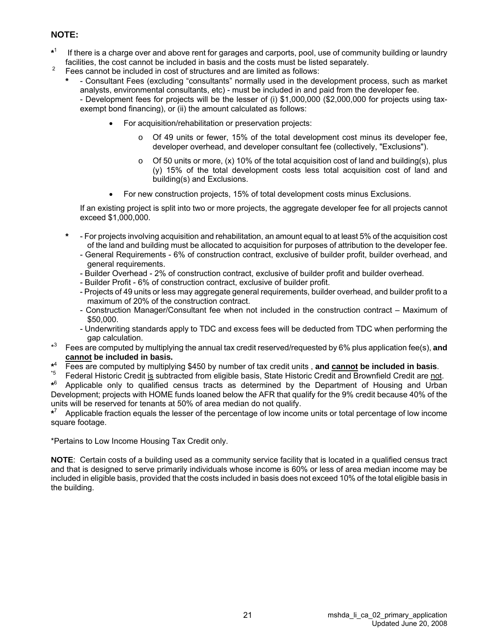#### **NOTE:**

- **\*** If there is a charge over and above rent for garages and carports, pool, use of community building or laundry facilities, the cost cannot be included in basis and the costs must be listed separately.
- <sup>2</sup> Fees cannot be included in cost of structures and are limited as follows:
	- **\*** Consultant Fees (excluding "consultants" normally used in the development process, such as market analysts, environmental consultants, etc) - must be included in and paid from the developer fee. - Development fees for projects will be the lesser of (i) \$1,000,000 (\$2,000,000 for projects using taxexempt bond financing), or (ii) the amount calculated as follows:
		- For acquisition/rehabilitation or preservation projects:
			- o Of 49 units or fewer, 15% of the total development cost minus its developer fee, developer overhead, and developer consultant fee (collectively, "Exclusions").
			- $\circ$  Of 50 units or more, (x) 10% of the total acquisition cost of land and building(s), plus (y) 15% of the total development costs less total acquisition cost of land and building(s) and Exclusions.
		- For new construction projects, 15% of total development costs minus Exclusions.

If an existing project is split into two or more projects, the aggregate developer fee for all projects cannot exceed \$1,000,000.

- **\*** For projects involving acquisition and rehabilitation, an amount equal to at least 5% of the acquisition cost of the land and building must be allocated to acquisition for purposes of attribution to the developer fee.
	- General Requirements 6% of construction contract, exclusive of builder profit, builder overhead, and general requirements.
	- Builder Overhead 2% of construction contract, exclusive of builder profit and builder overhead.
	- Builder Profit 6% of construction contract, exclusive of builder profit.
	- Projects of 49 units or less may aggregate general requirements, builder overhead, and builder profit to a maximum of 20% of the construction contract.
	- Construction Manager/Consultant fee when not included in the construction contract Maximum of \$50,000.
	- Underwriting standards apply to TDC and excess fees will be deducted from TDC when performing the gap calculation.
- $*3$ 3 Fees are computed by multiplying the annual tax credit reserved/requested by 6% plus application fee(s), **and cannot be included in basis.**
- $*^4$ <br>\*5 Fees are computed by multiplying \$450 by number of tax credit units, and cannot be included in basis.<br>Federal Historic Credit is subtracted from eligible basis, State Historic Credit and Brownfield Credit are not.
- 

**\*** 6 Applicable only to qualified census tracts as determined by the Department of Housing and Urban Development; projects with HOME funds loaned below the AFR that qualify for the 9% credit because 40% of the units will be reserved for tenants at 50% of area median do not qualify.

**\*** 7 Applicable fraction equals the lesser of the percentage of low income units or total percentage of low income square footage.

\*Pertains to Low Income Housing Tax Credit only.

**NOTE**: Certain costs of a building used as a community service facility that is located in a qualified census tract and that is designed to serve primarily individuals whose income is 60% or less of area median income may be included in eligible basis, provided that the costs included in basis does not exceed 10% of the total eligible basis in the building.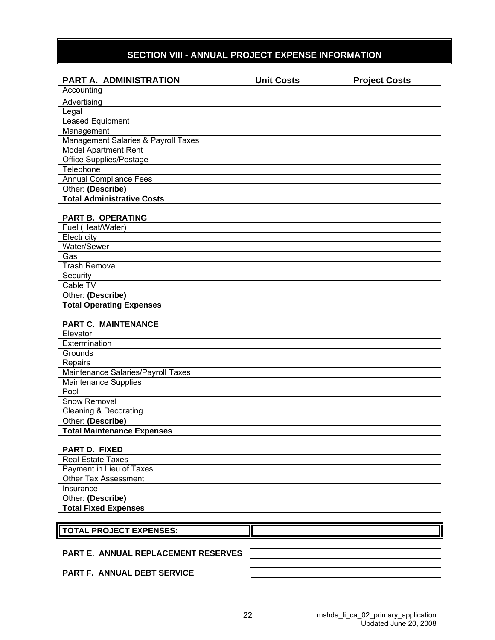## **SECTION VIII - ANNUAL PROJECT EXPENSE INFORMATION**

| <b>PART A. ADMINISTRATION</b>       | <b>Unit Costs</b> | <b>Project Costs</b> |
|-------------------------------------|-------------------|----------------------|
| Accounting                          |                   |                      |
| Advertising                         |                   |                      |
| Legal                               |                   |                      |
| <b>Leased Equipment</b>             |                   |                      |
| Management                          |                   |                      |
| Management Salaries & Payroll Taxes |                   |                      |
| <b>Model Apartment Rent</b>         |                   |                      |
| Office Supplies/Postage             |                   |                      |
| Telephone                           |                   |                      |
| <b>Annual Compliance Fees</b>       |                   |                      |
| Other: (Describe)                   |                   |                      |
| <b>Total Administrative Costs</b>   |                   |                      |

#### **PART B. OPERATING**

| Fuel (Heat/Water)               |  |
|---------------------------------|--|
| Electricity                     |  |
| Water/Sewer                     |  |
| Gas                             |  |
| Trash Removal                   |  |
| Security                        |  |
| Cable TV                        |  |
| Other: (Describe)               |  |
| <b>Total Operating Expenses</b> |  |

#### **PART C. MAINTENANCE**

| Elevator                           |  |
|------------------------------------|--|
| Extermination                      |  |
| Grounds                            |  |
| Repairs                            |  |
| Maintenance Salaries/Payroll Taxes |  |
| <b>Maintenance Supplies</b>        |  |
| Pool                               |  |
| Snow Removal                       |  |
| <b>Cleaning &amp; Decorating</b>   |  |
| Other: (Describe)                  |  |
| <b>Total Maintenance Expenses</b>  |  |

#### **PART D. FIXED**

| Real Estate Taxes           |  |
|-----------------------------|--|
| Payment in Lieu of Taxes    |  |
| Other Tax Assessment        |  |
| Insurance                   |  |
| Other: (Describe)           |  |
| <b>Total Fixed Expenses</b> |  |

#### **TOTAL PROJECT EXPENSES:**

#### **PART E. ANNUAL REPLACEMENT RESERVES**

**PART F. ANNUAL DEBT SERVICE**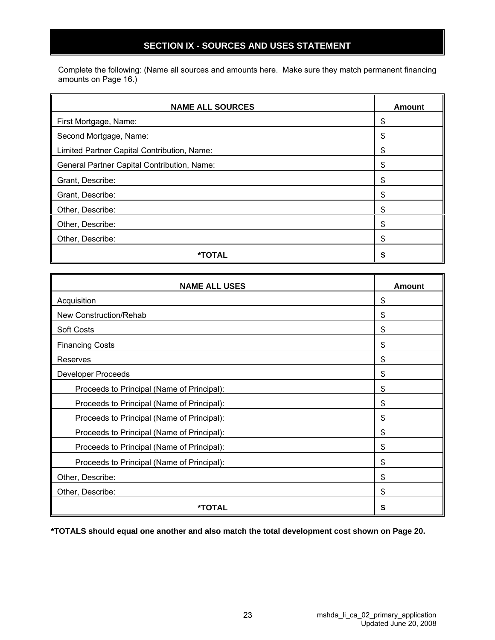## **SECTION IX - SOURCES AND USES STATEMENT**

Complete the following: (Name all sources and amounts here. Make sure they match permanent financing amounts on Page 16.)

| <b>NAME ALL SOURCES</b>                     | Amount |
|---------------------------------------------|--------|
| First Mortgage, Name:                       | \$     |
| Second Mortgage, Name:                      | \$     |
| Limited Partner Capital Contribution, Name: | S      |
| General Partner Capital Contribution, Name: | S      |
| Grant, Describe:                            | S      |
| Grant, Describe:                            | S      |
| Other, Describe:                            | \$     |
| Other, Describe:                            | S      |
| Other, Describe:                            | S      |
| *TOTAL                                      |        |

| <b>NAME ALL USES</b>                       | Amount |
|--------------------------------------------|--------|
| Acquisition                                | \$     |
| New Construction/Rehab                     | \$     |
| <b>Soft Costs</b>                          | \$     |
| <b>Financing Costs</b>                     | \$     |
| Reserves                                   | \$     |
| <b>Developer Proceeds</b>                  | \$     |
| Proceeds to Principal (Name of Principal): | \$     |
| Proceeds to Principal (Name of Principal): | \$     |
| Proceeds to Principal (Name of Principal): | \$     |
| Proceeds to Principal (Name of Principal): | \$     |
| Proceeds to Principal (Name of Principal): | \$     |
| Proceeds to Principal (Name of Principal): | \$     |
| Other, Describe:                           | \$     |
| Other, Describe:                           | \$     |
| *TOTAL                                     | \$     |

**\*TOTALS should equal one another and also match the total development cost shown on Page 20.**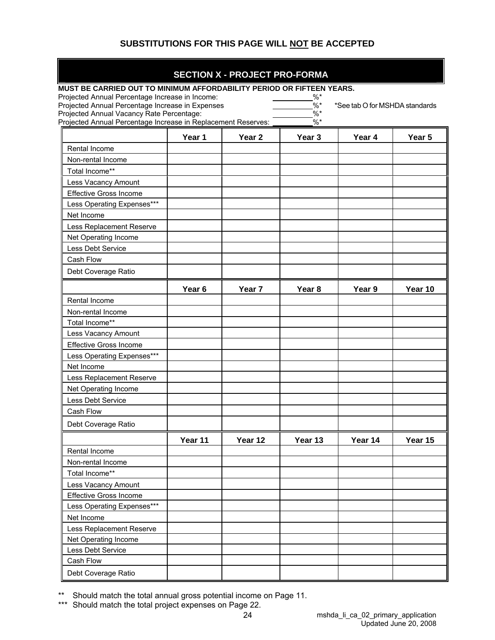## **SUBSTITUTIONS FOR THIS PAGE WILL NOT BE ACCEPTED**

#### **SECTION X - PROJECT PRO-FORMA**

| MUST BE CARRIED OUT TO MINIMUM AFFORDABILITY PERIOD OR FIFTEEN YEARS.                               |                   |                   |                          |                                |         |
|-----------------------------------------------------------------------------------------------------|-------------------|-------------------|--------------------------|--------------------------------|---------|
| Projected Annual Percentage Increase in Income:<br>Projected Annual Percentage Increase in Expenses |                   |                   | $%^*$<br>$\frac{0}{6}$ * | *See tab O for MSHDA standards |         |
| Projected Annual Vacancy Rate Percentage:                                                           |                   |                   | $%$ *                    |                                |         |
| Projected Annual Percentage Increase in Replacement Reserves:                                       |                   |                   | $%$ *                    |                                |         |
|                                                                                                     | Year 1            | Year <sub>2</sub> | Year 3                   | Year 4                         | Year 5  |
| Rental Income                                                                                       |                   |                   |                          |                                |         |
| Non-rental Income                                                                                   |                   |                   |                          |                                |         |
| Total Income**                                                                                      |                   |                   |                          |                                |         |
| Less Vacancy Amount                                                                                 |                   |                   |                          |                                |         |
| <b>Effective Gross Income</b>                                                                       |                   |                   |                          |                                |         |
| Less Operating Expenses***                                                                          |                   |                   |                          |                                |         |
| Net Income                                                                                          |                   |                   |                          |                                |         |
| Less Replacement Reserve                                                                            |                   |                   |                          |                                |         |
| Net Operating Income                                                                                |                   |                   |                          |                                |         |
| Less Debt Service                                                                                   |                   |                   |                          |                                |         |
| Cash Flow                                                                                           |                   |                   |                          |                                |         |
| Debt Coverage Ratio                                                                                 |                   |                   |                          |                                |         |
|                                                                                                     | Year <sub>6</sub> | Year 7            | Year <sub>8</sub>        | Year 9                         | Year 10 |
| Rental Income                                                                                       |                   |                   |                          |                                |         |
| Non-rental Income                                                                                   |                   |                   |                          |                                |         |
| Total Income**                                                                                      |                   |                   |                          |                                |         |
| Less Vacancy Amount                                                                                 |                   |                   |                          |                                |         |
| <b>Effective Gross Income</b>                                                                       |                   |                   |                          |                                |         |
| Less Operating Expenses***                                                                          |                   |                   |                          |                                |         |
| Net Income                                                                                          |                   |                   |                          |                                |         |
| Less Replacement Reserve                                                                            |                   |                   |                          |                                |         |
| Net Operating Income                                                                                |                   |                   |                          |                                |         |
| <b>Less Debt Service</b>                                                                            |                   |                   |                          |                                |         |
| Cash Flow                                                                                           |                   |                   |                          |                                |         |
| Debt Coverage Ratio                                                                                 |                   |                   |                          |                                |         |
|                                                                                                     | Year 11           | Year 12           | Year 13                  | Year 14                        | Year 15 |
| Rental Income                                                                                       |                   |                   |                          |                                |         |
| Non-rental Income                                                                                   |                   |                   |                          |                                |         |
| Total Income**                                                                                      |                   |                   |                          |                                |         |
| Less Vacancy Amount                                                                                 |                   |                   |                          |                                |         |
| <b>Effective Gross Income</b>                                                                       |                   |                   |                          |                                |         |
| Less Operating Expenses***                                                                          |                   |                   |                          |                                |         |
| Net Income                                                                                          |                   |                   |                          |                                |         |
| Less Replacement Reserve                                                                            |                   |                   |                          |                                |         |
| Net Operating Income                                                                                |                   |                   |                          |                                |         |
| Less Debt Service                                                                                   |                   |                   |                          |                                |         |
| Cash Flow                                                                                           |                   |                   |                          |                                |         |
| Debt Coverage Ratio                                                                                 |                   |                   |                          |                                |         |

\*\* Should match the total annual gross potential income on Page 11.

\*\*\* Should match the total project expenses on Page 22.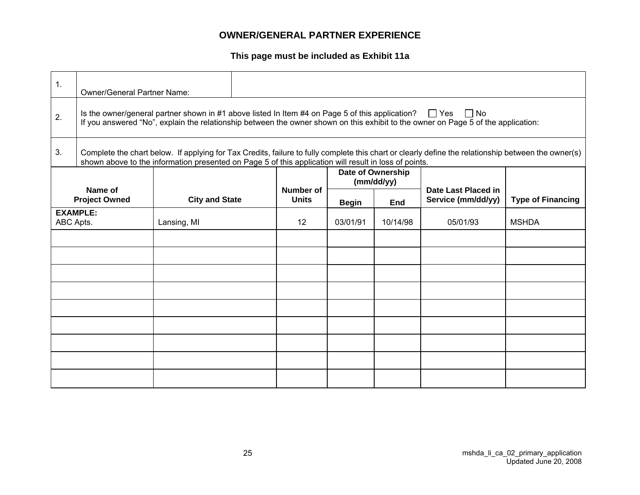## **OWNER/GENERAL PARTNER EXPERIENCE**

**This page must be included as Exhibit 11a**

| $\mathbf{1}$ .                                                                                                                                                                                                                                                     | <b>Owner/General Partner Name:</b> |                                                                                                       |  |                           |              |                                 |                                                                                                                                                     |                          |  |
|--------------------------------------------------------------------------------------------------------------------------------------------------------------------------------------------------------------------------------------------------------------------|------------------------------------|-------------------------------------------------------------------------------------------------------|--|---------------------------|--------------|---------------------------------|-----------------------------------------------------------------------------------------------------------------------------------------------------|--------------------------|--|
| Is the owner/general partner shown in #1 above listed In Item #4 on Page 5 of this application? $\Box$ Yes<br>$\Box$ No<br>2.<br>If you answered "No", explain the relationship between the owner shown on this exhibit to the owner on Page 5 of the application: |                                    |                                                                                                       |  |                           |              |                                 |                                                                                                                                                     |                          |  |
| 3.                                                                                                                                                                                                                                                                 |                                    | shown above to the information presented on Page 5 of this application will result in loss of points. |  |                           |              |                                 | Complete the chart below. If applying for Tax Credits, failure to fully complete this chart or clearly define the relationship between the owner(s) |                          |  |
|                                                                                                                                                                                                                                                                    |                                    |                                                                                                       |  |                           |              | Date of Ownership<br>(mm/dd/yy) |                                                                                                                                                     |                          |  |
|                                                                                                                                                                                                                                                                    | Name of<br><b>Project Owned</b>    | <b>City and State</b>                                                                                 |  | Number of<br><b>Units</b> | <b>Begin</b> | End                             | Date Last Placed in<br>Service (mm/dd/yy)                                                                                                           | <b>Type of Financing</b> |  |
| <b>EXAMPLE:</b><br>ABC Apts.                                                                                                                                                                                                                                       |                                    | Lansing, MI                                                                                           |  | $12 \overline{ }$         | 03/01/91     | 10/14/98                        | 05/01/93                                                                                                                                            | <b>MSHDA</b>             |  |
|                                                                                                                                                                                                                                                                    |                                    |                                                                                                       |  |                           |              |                                 |                                                                                                                                                     |                          |  |
|                                                                                                                                                                                                                                                                    |                                    |                                                                                                       |  |                           |              |                                 |                                                                                                                                                     |                          |  |
|                                                                                                                                                                                                                                                                    |                                    |                                                                                                       |  |                           |              |                                 |                                                                                                                                                     |                          |  |
|                                                                                                                                                                                                                                                                    |                                    |                                                                                                       |  |                           |              |                                 |                                                                                                                                                     |                          |  |
|                                                                                                                                                                                                                                                                    |                                    |                                                                                                       |  |                           |              |                                 |                                                                                                                                                     |                          |  |
|                                                                                                                                                                                                                                                                    |                                    |                                                                                                       |  |                           |              |                                 |                                                                                                                                                     |                          |  |
|                                                                                                                                                                                                                                                                    |                                    |                                                                                                       |  |                           |              |                                 |                                                                                                                                                     |                          |  |
|                                                                                                                                                                                                                                                                    |                                    |                                                                                                       |  |                           |              |                                 |                                                                                                                                                     |                          |  |
|                                                                                                                                                                                                                                                                    |                                    |                                                                                                       |  |                           |              |                                 |                                                                                                                                                     |                          |  |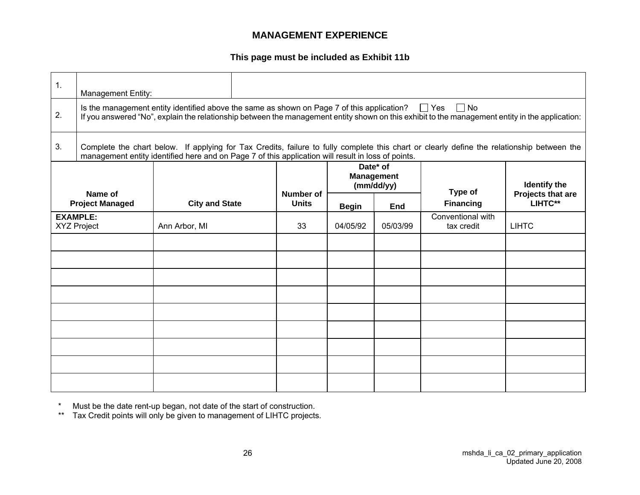## **MANAGEMENT EXPERIENCE**

**This page must be included as Exhibit 11b**

| 1.                                                                                                                                                                                                                                                                       | <b>Management Entity:</b>                                                                                                                                                                                                                        |                       |  |                                  |              |                                             |                                 |                              |  |
|--------------------------------------------------------------------------------------------------------------------------------------------------------------------------------------------------------------------------------------------------------------------------|--------------------------------------------------------------------------------------------------------------------------------------------------------------------------------------------------------------------------------------------------|-----------------------|--|----------------------------------|--------------|---------------------------------------------|---------------------------------|------------------------------|--|
| Is the management entity identified above the same as shown on Page 7 of this application? $\Box$ Yes $\Box$ No<br>2.<br>If you answered "No", explain the relationship between the management entity shown on this exhibit to the management entity in the application: |                                                                                                                                                                                                                                                  |                       |  |                                  |              |                                             |                                 |                              |  |
| 3.                                                                                                                                                                                                                                                                       | Complete the chart below. If applying for Tax Credits, failure to fully complete this chart or clearly define the relationship between the<br>management entity identified here and on Page 7 of this application will result in loss of points. |                       |  |                                  |              |                                             |                                 |                              |  |
|                                                                                                                                                                                                                                                                          |                                                                                                                                                                                                                                                  |                       |  |                                  |              | Date* of<br><b>Management</b><br>(mm/dd/yy) |                                 | <b>Identify the</b>          |  |
|                                                                                                                                                                                                                                                                          | Name of<br><b>Project Managed</b>                                                                                                                                                                                                                | <b>City and State</b> |  | <b>Number of</b><br><b>Units</b> | <b>Begin</b> | End                                         | Type of<br><b>Financing</b>     | Projects that are<br>LIHTC** |  |
|                                                                                                                                                                                                                                                                          | <b>EXAMPLE:</b><br><b>XYZ Project</b>                                                                                                                                                                                                            | Ann Arbor, MI         |  | 33                               | 04/05/92     | 05/03/99                                    | Conventional with<br>tax credit | <b>LIHTC</b>                 |  |
|                                                                                                                                                                                                                                                                          |                                                                                                                                                                                                                                                  |                       |  |                                  |              |                                             |                                 |                              |  |
|                                                                                                                                                                                                                                                                          |                                                                                                                                                                                                                                                  |                       |  |                                  |              |                                             |                                 |                              |  |
|                                                                                                                                                                                                                                                                          |                                                                                                                                                                                                                                                  |                       |  |                                  |              |                                             |                                 |                              |  |
|                                                                                                                                                                                                                                                                          |                                                                                                                                                                                                                                                  |                       |  |                                  |              |                                             |                                 |                              |  |
|                                                                                                                                                                                                                                                                          |                                                                                                                                                                                                                                                  |                       |  |                                  |              |                                             |                                 |                              |  |
|                                                                                                                                                                                                                                                                          |                                                                                                                                                                                                                                                  |                       |  |                                  |              |                                             |                                 |                              |  |
|                                                                                                                                                                                                                                                                          |                                                                                                                                                                                                                                                  |                       |  |                                  |              |                                             |                                 |                              |  |
|                                                                                                                                                                                                                                                                          |                                                                                                                                                                                                                                                  |                       |  |                                  |              |                                             |                                 |                              |  |
|                                                                                                                                                                                                                                                                          |                                                                                                                                                                                                                                                  |                       |  |                                  |              |                                             |                                 |                              |  |

\* Must be the date rent-up began, not date of the start of construction.

\*\* Tax Credit points will only be given to management of LIHTC projects.